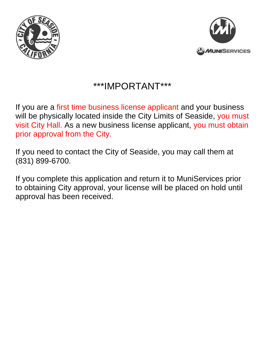



## \*\*\*IMPORTANT\*\*\*

If you are a first time business license applicant and your business will be physically located inside the City Limits of Seaside, you must visit City Hall. As a new business license applicant, you must obtain prior approval from the City.

If you need to contact the City of Seaside, you may call them at (831) 899-6700.

If you complete this application and return it to MuniServices prior to obtaining City approval, your license will be placed on hold until approval has been received.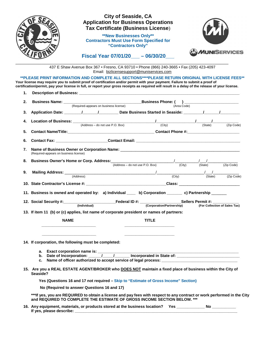

## **City of Seaside, CA Application for Business Operations Tax Certificate (Business License**)

**\*\*New Businesses Only\*\* Contractors Must Use Form Specified for "Contractors Only"** 

**Fiscal Year 07/01/20\_\_\_ – 06/30/20\_\_\_**



\_\_\_\_\_\_\_\_\_\_\_\_\_\_\_\_\_\_\_\_\_\_\_\_\_\_\_\_\_\_\_\_\_\_\_\_\_\_\_\_\_\_\_\_\_\_\_\_\_\_\_\_\_\_\_\_\_\_\_\_\_\_\_\_\_\_\_\_\_\_\_\_\_\_\_\_\_\_\_\_\_\_ 437 E Shaw Avenue Box 367 • Fresno, CA 93710 • Phone (866) 240-3665 • Fax (205) 423-4097 Email: bizlicensesupport@muniservices.com

**\*\*PLEASE PRINT INFORMATION AND COMPLETE ALL SECTIONS\*\*\*\*PLEASE RETURN ORIGINAL WITH LICENSE FEES\*\* Your license may require you to submit proof of certification and/or permit with your payment. Failure to submit a proof of certification/permit, pay your license in full, or report your gross receipts as required will result in a delay of the release of your license.** 

| 2.                                                                                                                                                                                                  |                                                                                                                       |                                                                                                     |              |  |  |
|-----------------------------------------------------------------------------------------------------------------------------------------------------------------------------------------------------|-----------------------------------------------------------------------------------------------------------------------|-----------------------------------------------------------------------------------------------------|--------------|--|--|
|                                                                                                                                                                                                     |                                                                                                                       |                                                                                                     |              |  |  |
|                                                                                                                                                                                                     |                                                                                                                       |                                                                                                     |              |  |  |
| 3.                                                                                                                                                                                                  |                                                                                                                       |                                                                                                     |              |  |  |
| 4.                                                                                                                                                                                                  |                                                                                                                       |                                                                                                     |              |  |  |
|                                                                                                                                                                                                     |                                                                                                                       |                                                                                                     |              |  |  |
| 5.                                                                                                                                                                                                  |                                                                                                                       |                                                                                                     |              |  |  |
| 6.                                                                                                                                                                                                  |                                                                                                                       |                                                                                                     |              |  |  |
| 7.<br>(Required-appears on business license)                                                                                                                                                        |                                                                                                                       |                                                                                                     |              |  |  |
| <b>Business Owner's Home or Corp. Address:</b><br>(Address – do not use P.O. Box) (City) (State) (State) (Zip Code)<br>8.                                                                           |                                                                                                                       |                                                                                                     |              |  |  |
|                                                                                                                                                                                                     |                                                                                                                       |                                                                                                     |              |  |  |
| <b>Mailing Address:</b> $\frac{1}{(City - (City - (City - (City - (City - (7))))))}$<br>9.                                                                                                          |                                                                                                                       |                                                                                                     |              |  |  |
|                                                                                                                                                                                                     |                                                                                                                       |                                                                                                     |              |  |  |
|                                                                                                                                                                                                     |                                                                                                                       |                                                                                                     |              |  |  |
| 11. Business is owned and operated by: a) Individual ____ b) Corporation ______ c) Partnership ____                                                                                                 |                                                                                                                       |                                                                                                     |              |  |  |
| 12. Social Security #: Corporation/Partnership (Individual) Federal ID #: Sellers Permit #: Sellers Permit #:                                                                                       |                                                                                                                       |                                                                                                     |              |  |  |
|                                                                                                                                                                                                     |                                                                                                                       |                                                                                                     |              |  |  |
|                                                                                                                                                                                                     |                                                                                                                       |                                                                                                     |              |  |  |
|                                                                                                                                                                                                     |                                                                                                                       |                                                                                                     |              |  |  |
| <b>NAME</b>                                                                                                                                                                                         |                                                                                                                       |                                                                                                     | <b>TITLE</b> |  |  |
| 13. If item 11 (b) or (c) applies, list name of corporate president or names of partners:                                                                                                           | <u> 1990 - Johann John Stone, markin film yn y brening yn y brening yn y brening yn y brening yn y brening yn y b</u> |                                                                                                     |              |  |  |
|                                                                                                                                                                                                     |                                                                                                                       |                                                                                                     |              |  |  |
|                                                                                                                                                                                                     |                                                                                                                       |                                                                                                     |              |  |  |
|                                                                                                                                                                                                     |                                                                                                                       |                                                                                                     |              |  |  |
|                                                                                                                                                                                                     |                                                                                                                       |                                                                                                     |              |  |  |
|                                                                                                                                                                                                     |                                                                                                                       | c. Name of officer authorized to accept service of legal process: _________________________________ |              |  |  |
| Seaside?                                                                                                                                                                                            |                                                                                                                       |                                                                                                     |              |  |  |
|                                                                                                                                                                                                     |                                                                                                                       | Yes (Questions 16 and 17 not required - Skip to "Estimate of Gross Income" Section)                 |              |  |  |
| 14. If corporation, the following must be completed:<br>15. Are you a REAL ESTATE AGENT/BROKER who DOES NOT maintain a fixed place of business within the City of                                   | No (Required to answer Questions 16 and 17)                                                                           |                                                                                                     |              |  |  |
| ***If yes, you are REQUIRED to obtain a license and pay fees with respect to any contract or work performed in the City<br>and REQUIRED TO COMPLETE THE ESTIMATE OF GROSS INCOME SECTION BELOW. *** |                                                                                                                       |                                                                                                     |              |  |  |

**If yes, please describe: \_\_\_\_\_\_\_\_\_\_\_\_\_\_\_\_\_\_\_\_\_\_\_\_\_\_\_\_\_\_\_\_\_\_\_\_\_\_\_\_\_\_\_\_\_\_\_\_\_\_\_\_\_\_\_\_\_\_\_\_\_\_\_\_\_\_\_\_\_\_\_\_\_\_\_**